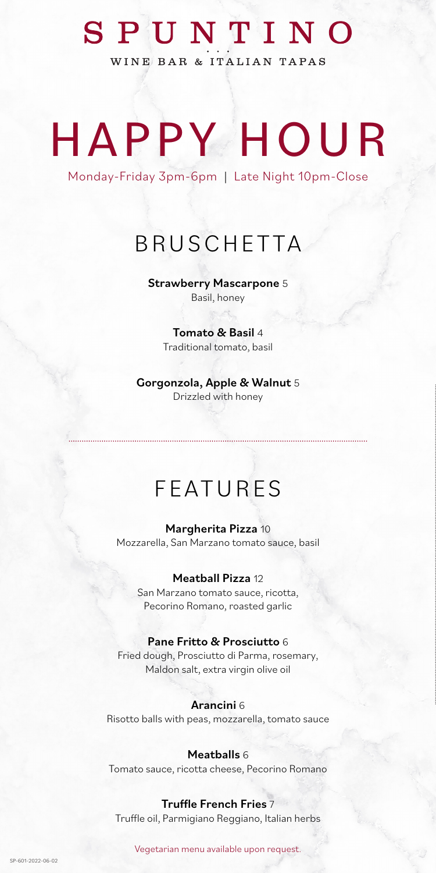## SPUNTINO

WINE BAR & ITALIAN TAPAS

# HAPPY HOUR

Monday-Friday 3pm-6pm | Late Night 10pm-Close

## BRUSCHETTA

Strawberry Mascarpone 5 Basil, honey

> Tomato & Basil 4 Traditional tomato, basil

Gorgonzola, Apple & Walnut 5 Drizzled with honey

## FEATURES

Margherita Pizza 10 Mozzarella, San Marzano tomato sauce, basil

### Meatball Pizza 12

San Marzano tomato sauce, ricotta, Pecorino Romano, roasted garlic

### Pane Fritto & Prosciutto 6

Fried dough, Prosciutto di Parma, rosemary, Maldon salt, extra virgin olive oil

### Arancini 6

Risotto balls with peas, mozzarella, tomato sauce

#### Meatballs 6

Tomato sauce, ricotta cheese, Pecorino Romano

#### Truffle French Fries 7

Truffle oil, Parmigiano Reggiano, Italian herbs

Vegetarian menu available upon request.